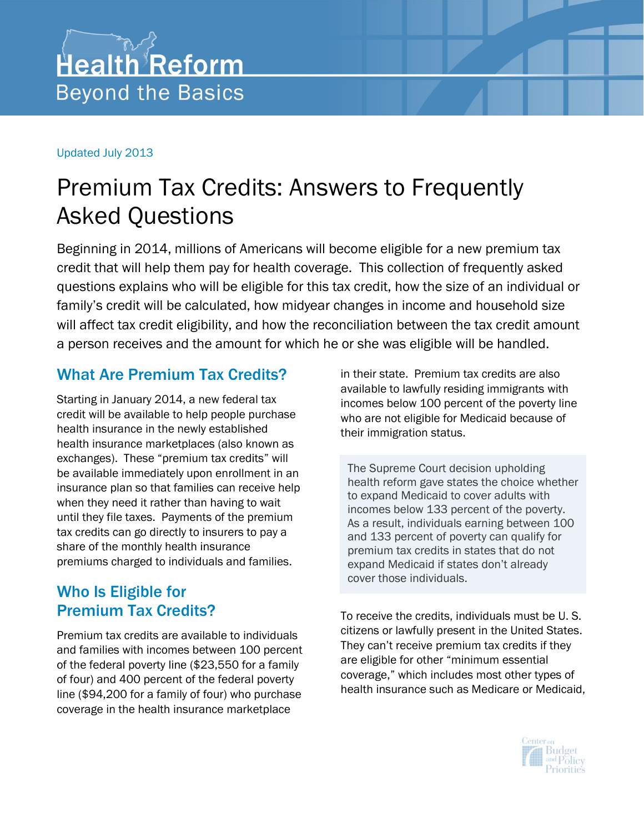#### Updated July 2013

## Premium Tax Credits: Answers to Frequently Asked Questions

Beginning in 2014, millions of Americans will become eligible for a new premium tax credit that will help them pay for health coverage. This collection of frequently asked questions explains who will be eligible for this tax credit, how the size of an individual or family's credit will be calculated, how midyear changes in income and household size will affect tax credit eligibility, and how the reconciliation between the tax credit amount a person receives and the amount for which he or she was eligible will be handled.

#### What Are Premium Tax Credits?

Starting in January 2014, a new federal tax credit will be available to help people purchase health insurance in the newly established health insurance marketplaces (also known as exchanges). These "premium tax credits" will be available immediately upon enrollment in an insurance plan so that families can receive help when they need it rather than having to wait until they file taxes. Payments of the premium tax credits can go directly to insurers to pay a share of the monthly health insurance premiums charged to individuals and families.

#### Who Is Eligible for Premium Tax Credits?

Premium tax credits are available to individuals and families with incomes between 100 percent of the federal poverty line (\$23,550 for a family of four) and 400 percent of the federal poverty line (\$94,200 for a family of four) who purchase coverage in the health insurance marketplace

in their state. Premium tax credits are also available to lawfully residing immigrants with incomes below 100 percent of the poverty line who are not eligible for Medicaid because of their immigration status.

The Supreme Court decision upholding health reform gave states the choice whether to expand Medicaid to cover adults with incomes below 133 percent of the poverty. As a result, individuals earning between 100 and 133 percent of poverty can qualify for premium tax credits in states that do not expand Medicaid if states don't already cover those individuals.

To receive the credits, individuals must be U. S. citizens or lawfully present in the United States. They can't receive premium tax credits if they are eligible for other "minimum essential coverage," which includes most other types of health insurance such as Medicare or Medicaid,

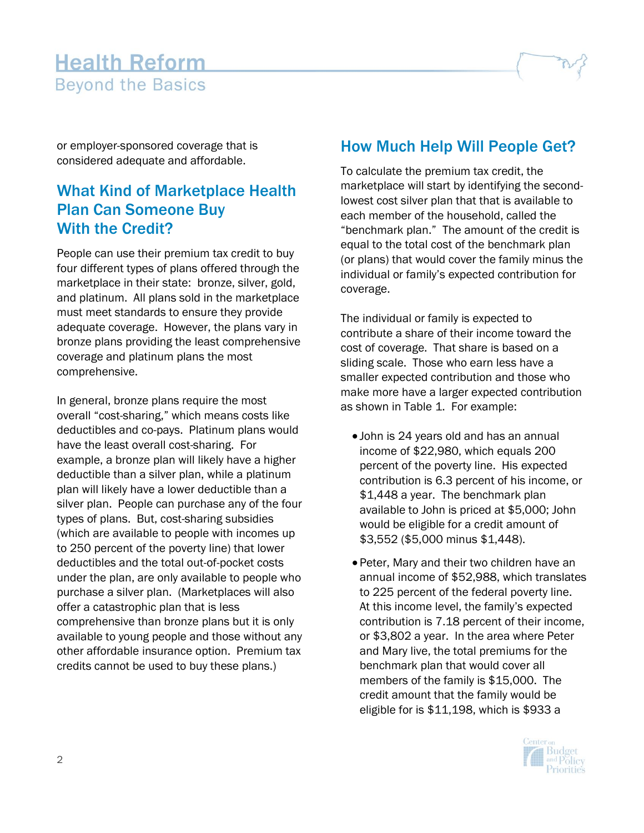or employer-sponsored coverage that is considered adequate and affordable.

#### What Kind of Marketplace Health Plan Can Someone Buy With the Credit?

People can use their premium tax credit to buy four different types of plans offered through the marketplace in their state: bronze, silver, gold, and platinum. All plans sold in the marketplace must meet standards to ensure they provide adequate coverage. However, the plans vary in bronze plans providing the least comprehensive coverage and platinum plans the most comprehensive.

In general, bronze plans require the most overall "cost-sharing," which means costs like deductibles and co-pays. Platinum plans would have the least overall cost-sharing. For example, a bronze plan will likely have a higher deductible than a silver plan, while a platinum plan will likely have a lower deductible than a silver plan. People can purchase any of the four types of plans. But, cost-sharing subsidies (which are available to people with incomes up to 250 percent of the poverty line) that lower deductibles and the total out-of-pocket costs under the plan, are only available to people who purchase a silver plan. (Marketplaces will also offer a catastrophic plan that is less comprehensive than bronze plans but it is only available to young people and those without any other affordable insurance option. Premium tax credits cannot be used to buy these plans.)

#### How Much Help Will People Get?

To calculate the premium tax credit, the marketplace will start by identifying the secondlowest cost silver plan that that is available to each member of the household, called the "benchmark plan." The amount of the credit is equal to the total cost of the benchmark plan (or plans) that would cover the family minus the individual or family's expected contribution for coverage.

The individual or family is expected to contribute a share of their income toward the cost of coverage. That share is based on a sliding scale. Those who earn less have a smaller expected contribution and those who make more have a larger expected contribution as shown in Table 1. For example:

- John is 24 years old and has an annual income of \$22,980, which equals 200 percent of the poverty line. His expected contribution is 6.3 percent of his income, or \$1,448 a year. The benchmark plan available to John is priced at \$5,000; John would be eligible for a credit amount of \$3,552 (\$5,000 minus \$1,448).
- Peter, Mary and their two children have an annual income of \$52,988, which translates to 225 percent of the federal poverty line. At this income level, the family's expected contribution is 7.18 percent of their income, or \$3,802 a year. In the area where Peter and Mary live, the total premiums for the benchmark plan that would cover all members of the family is \$15,000. The credit amount that the family would be eligible for is \$11,198, which is \$933 a

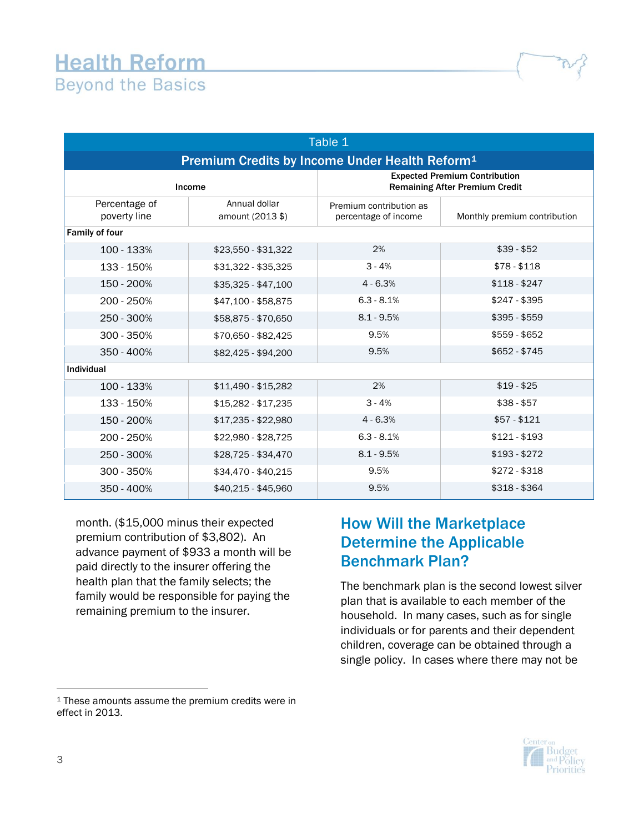| Table 1                                                    |                                   |                                                                               |                              |  |  |  |  |
|------------------------------------------------------------|-----------------------------------|-------------------------------------------------------------------------------|------------------------------|--|--|--|--|
| Premium Credits by Income Under Health Reform <sup>1</sup> |                                   |                                                                               |                              |  |  |  |  |
| Income                                                     |                                   | <b>Expected Premium Contribution</b><br><b>Remaining After Premium Credit</b> |                              |  |  |  |  |
| Percentage of<br>poverty line                              | Annual dollar<br>amount (2013 \$) | Premium contribution as<br>percentage of income                               | Monthly premium contribution |  |  |  |  |
| Family of four                                             |                                   |                                                                               |                              |  |  |  |  |
| 100 - 133%                                                 | \$23,550 - \$31,322               | 2%                                                                            | $$39 - $52$                  |  |  |  |  |
| 133 - 150%                                                 | \$31,322 - \$35,325               | $3 - 4%$                                                                      | $$78 - $118$                 |  |  |  |  |
| 150 - 200%                                                 | \$35,325 - \$47,100               | $4 - 6.3%$                                                                    | $$118 - $247$                |  |  |  |  |
| 200 - 250%                                                 | \$47,100 - \$58,875               | $6.3 - 8.1%$                                                                  | $$247 - $395$                |  |  |  |  |
| 250 - 300%                                                 | \$58,875 - \$70,650               | $8.1 - 9.5%$                                                                  | $$395 - $559$                |  |  |  |  |
| 300 - 350%                                                 | \$70,650 - \$82,425               | 9.5%                                                                          | \$559 - \$652                |  |  |  |  |
| 350 - 400%                                                 | \$82,425 - \$94,200               | 9.5%                                                                          | $$652 - $745$                |  |  |  |  |
| Individual                                                 |                                   |                                                                               |                              |  |  |  |  |
| 100 - 133%                                                 | \$11,490 - \$15,282               | 2%                                                                            | $$19 - $25$                  |  |  |  |  |
| 133 - 150%                                                 | \$15,282 - \$17,235               | $3 - 4%$                                                                      | $$38 - $57$                  |  |  |  |  |
| 150 - 200%                                                 | \$17,235 - \$22,980               | $4 - 6.3%$                                                                    | $$57 - $121$                 |  |  |  |  |
| 200 - 250%                                                 | \$22,980 - \$28,725               | $6.3 - 8.1%$                                                                  | $$121 - $193$                |  |  |  |  |
| 250 - 300%                                                 | $$28,725 - $34,470$               | $8.1 - 9.5%$                                                                  | $$193 - $272$                |  |  |  |  |
| 300 - 350%                                                 | \$34,470 - \$40,215               | 9.5%                                                                          | $$272 - $318$                |  |  |  |  |
| $350 - 400%$                                               | $$40,215 - $45,960$               | 9.5%                                                                          | \$318 - \$364                |  |  |  |  |

month. (\$15,000 minus their expected premium contribution of \$3,802). An advance payment of \$933 a month will be paid directly to the insurer offering the health plan that the family selects; the family would be responsible for paying the remaining premium to the insurer.

#### How Will the Marketplace Determine the Applicable Benchmark Plan?

The benchmark plan is the second lowest silver plan that is available to each member of the household. In many cases, such as for single individuals or for parents and their dependent children, coverage can be obtained through a single policy. In cases where there may not be



 $\overline{a}$ 

<sup>&</sup>lt;sup>1</sup> These amounts assume the premium credits were in effect in 2013.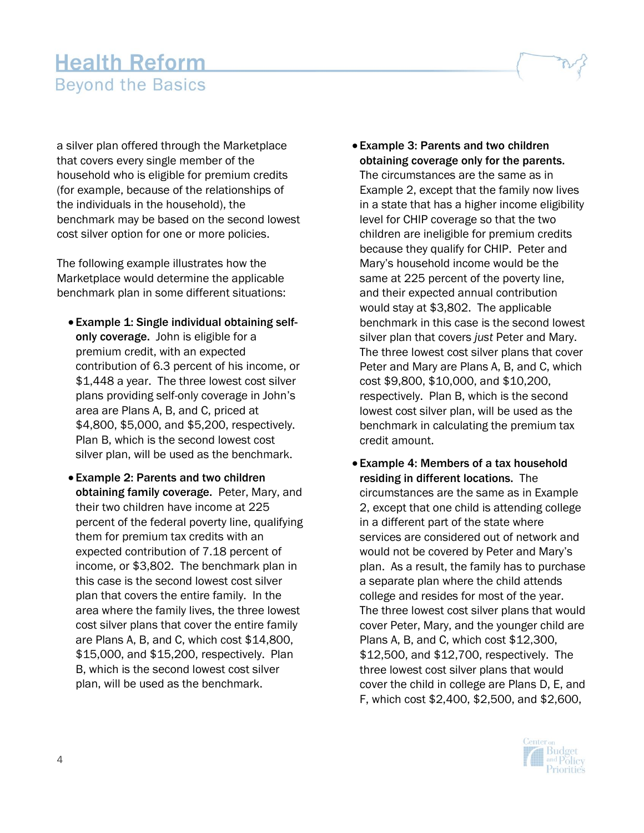a silver plan offered through the Marketplace that covers every single member of the household who is eligible for premium credits (for example, because of the relationships of the individuals in the household), the benchmark may be based on the second lowest cost silver option for one or more policies.

The following example illustrates how the Marketplace would determine the applicable benchmark plan in some different situations:

- Example 1: Single individual obtaining selfonly coverage. John is eligible for a premium credit, with an expected contribution of 6.3 percent of his income, or \$1,448 a year. The three lowest cost silver plans providing self-only coverage in John's area are Plans A, B, and C, priced at \$4,800, \$5,000, and \$5,200, respectively. Plan B, which is the second lowest cost silver plan, will be used as the benchmark.
- Example 2: Parents and two children obtaining family coverage. Peter, Mary, and their two children have income at 225 percent of the federal poverty line, qualifying them for premium tax credits with an expected contribution of 7.18 percent of income, or \$3,802. The benchmark plan in this case is the second lowest cost silver plan that covers the entire family. In the area where the family lives, the three lowest cost silver plans that cover the entire family are Plans A, B, and C, which cost \$14,800, \$15,000, and \$15,200, respectively. Plan B, which is the second lowest cost silver plan, will be used as the benchmark.
- Example 3: Parents and two children obtaining coverage only for the parents. The circumstances are the same as in Example 2, except that the family now lives in a state that has a higher income eligibility level for CHIP coverage so that the two children are ineligible for premium credits because they qualify for CHIP. Peter and Mary's household income would be the same at 225 percent of the poverty line, and their expected annual contribution would stay at \$3,802. The applicable benchmark in this case is the second lowest silver plan that covers *just* Peter and Mary. The three lowest cost silver plans that cover Peter and Mary are Plans A, B, and C, which cost \$9,800, \$10,000, and \$10,200, respectively. Plan B, which is the second lowest cost silver plan, will be used as the benchmark in calculating the premium tax credit amount.
- Example 4: Members of a tax household residing in different locations. The circumstances are the same as in Example 2, except that one child is attending college in a different part of the state where services are considered out of network and would not be covered by Peter and Mary's plan. As a result, the family has to purchase a separate plan where the child attends college and resides for most of the year. The three lowest cost silver plans that would cover Peter, Mary, and the younger child are Plans A, B, and C, which cost \$12,300, \$12,500, and \$12,700, respectively. The three lowest cost silver plans that would cover the child in college are Plans D, E, and F, which cost \$2,400, \$2,500, and \$2,600,

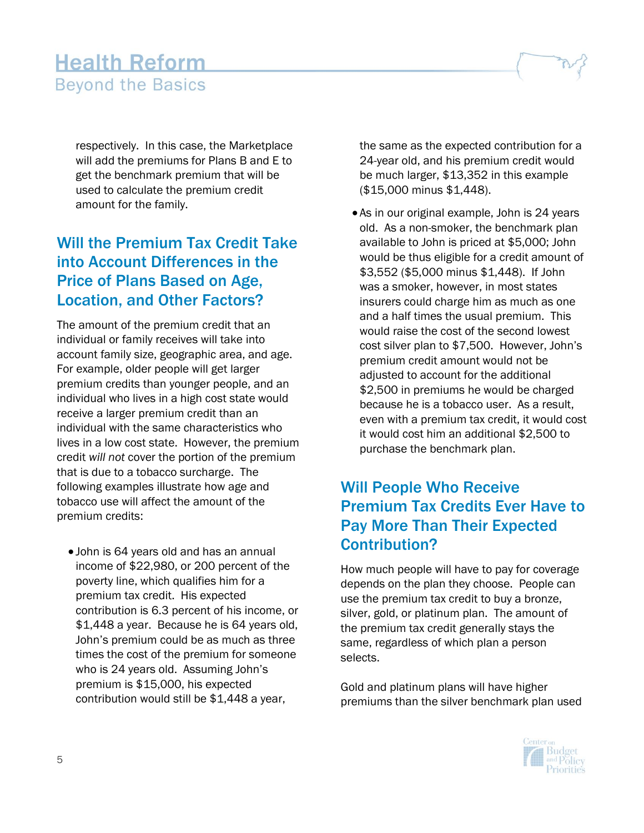respectively. In this case, the Marketplace will add the premiums for Plans B and E to get the benchmark premium that will be used to calculate the premium credit amount for the family.

#### Will the Premium Tax Credit Take into Account Differences in the Price of Plans Based on Age, Location, and Other Factors?

The amount of the premium credit that an individual or family receives will take into account family size, geographic area, and age. For example, older people will get larger premium credits than younger people, and an individual who lives in a high cost state would receive a larger premium credit than an individual with the same characteristics who lives in a low cost state. However, the premium credit *will not* cover the portion of the premium that is due to a tobacco surcharge. The following examples illustrate how age and tobacco use will affect the amount of the premium credits:

 John is 64 years old and has an annual income of \$22,980, or 200 percent of the poverty line, which qualifies him for a premium tax credit. His expected contribution is 6.3 percent of his income, or \$1,448 a year. Because he is 64 years old, John's premium could be as much as three times the cost of the premium for someone who is 24 years old. Assuming John's premium is \$15,000, his expected contribution would still be \$1,448 a year,

the same as the expected contribution for a 24-year old, and his premium credit would be much larger, \$13,352 in this example (\$15,000 minus \$1,448).

 As in our original example, John is 24 years old. As a non-smoker, the benchmark plan available to John is priced at \$5,000; John would be thus eligible for a credit amount of \$3,552 (\$5,000 minus \$1,448). If John was a smoker, however, in most states insurers could charge him as much as one and a half times the usual premium. This would raise the cost of the second lowest cost silver plan to \$7,500. However, John's premium credit amount would not be adjusted to account for the additional \$2,500 in premiums he would be charged because he is a tobacco user. As a result, even with a premium tax credit, it would cost it would cost him an additional \$2,500 to purchase the benchmark plan.

#### Will People Who Receive Premium Tax Credits Ever Have to Pay More Than Their Expected Contribution?

How much people will have to pay for coverage depends on the plan they choose. People can use the premium tax credit to buy a bronze, silver, gold, or platinum plan. The amount of the premium tax credit generally stays the same, regardless of which plan a person selects.

Gold and platinum plans will have higher premiums than the silver benchmark plan used

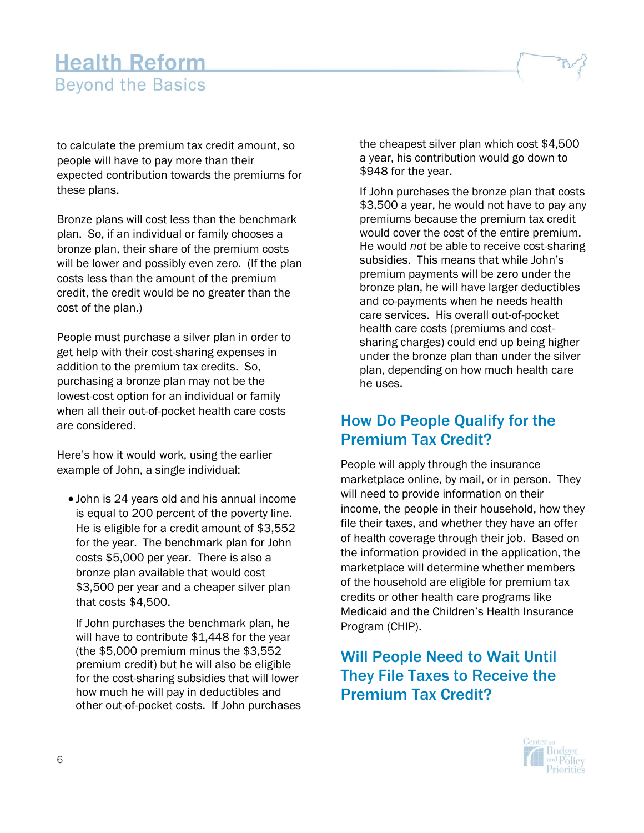to calculate the premium tax credit amount, so people will have to pay more than their expected contribution towards the premiums for these plans.

Bronze plans will cost less than the benchmark plan. So, if an individual or family chooses a bronze plan, their share of the premium costs will be lower and possibly even zero. (If the plan costs less than the amount of the premium credit, the credit would be no greater than the cost of the plan.)

People must purchase a silver plan in order to get help with their cost-sharing expenses in addition to the premium tax credits. So, purchasing a bronze plan may not be the lowest-cost option for an individual or family when all their out-of-pocket health care costs are considered.

Here's how it would work, using the earlier example of John, a single individual:

 John is 24 years old and his annual income is equal to 200 percent of the poverty line. He is eligible for a credit amount of \$3,552 for the year. The benchmark plan for John costs \$5,000 per year. There is also a bronze plan available that would cost \$3,500 per year and a cheaper silver plan that costs \$4,500.

If John purchases the benchmark plan, he will have to contribute \$1,448 for the year (the \$5,000 premium minus the \$3,552 premium credit) but he will also be eligible for the cost-sharing subsidies that will lower how much he will pay in deductibles and other out-of-pocket costs. If John purchases the cheapest silver plan which cost \$4,500 a year, his contribution would go down to \$948 for the year.

If John purchases the bronze plan that costs \$3,500 a year, he would not have to pay any premiums because the premium tax credit would cover the cost of the entire premium. He would *not* be able to receive cost-sharing subsidies. This means that while John's premium payments will be zero under the bronze plan, he will have larger deductibles and co-payments when he needs health care services. His overall out-of-pocket health care costs (premiums and costsharing charges) could end up being higher under the bronze plan than under the silver plan, depending on how much health care he uses.

#### How Do People Qualify for the Premium Tax Credit?

People will apply through the insurance marketplace online, by mail, or in person. They will need to provide information on their income, the people in their household, how they file their taxes, and whether they have an offer of health coverage through their job. Based on the information provided in the application, the marketplace will determine whether members of the household are eligible for premium tax credits or other health care programs like Medicaid and the Children's Health Insurance Program (CHIP).

#### Will People Need to Wait Until They File Taxes to Receive the Premium Tax Credit?

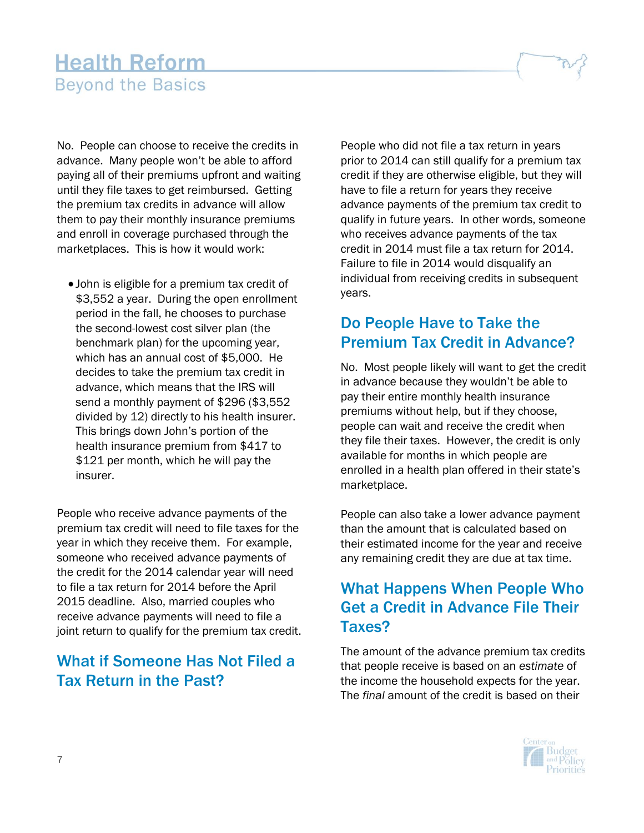No. People can choose to receive the credits in advance. Many people won't be able to afford paying all of their premiums upfront and waiting until they file taxes to get reimbursed. Getting the premium tax credits in advance will allow them to pay their monthly insurance premiums and enroll in coverage purchased through the marketplaces. This is how it would work:

 John is eligible for a premium tax credit of \$3,552 a year. During the open enrollment period in the fall, he chooses to purchase the second-lowest cost silver plan (the benchmark plan) for the upcoming year, which has an annual cost of \$5,000. He decides to take the premium tax credit in advance, which means that the IRS will send a monthly payment of \$296 (\$3,552 divided by 12) directly to his health insurer. This brings down John's portion of the health insurance premium from \$417 to \$121 per month, which he will pay the insurer.

People who receive advance payments of the premium tax credit will need to file taxes for the year in which they receive them. For example, someone who received advance payments of the credit for the 2014 calendar year will need to file a tax return for 2014 before the April 2015 deadline. Also, married couples who receive advance payments will need to file a joint return to qualify for the premium tax credit.

#### What if Someone Has Not Filed a Tax Return in the Past?

People who did not file a tax return in years prior to 2014 can still qualify for a premium tax credit if they are otherwise eligible, but they will have to file a return for years they receive advance payments of the premium tax credit to qualify in future years. In other words, someone who receives advance payments of the tax credit in 2014 must file a tax return for 2014. Failure to file in 2014 would disqualify an individual from receiving credits in subsequent years.

#### Do People Have to Take the Premium Tax Credit in Advance?

No. Most people likely will want to get the credit in advance because they wouldn't be able to pay their entire monthly health insurance premiums without help, but if they choose, people can wait and receive the credit when they file their taxes. However, the credit is only available for months in which people are enrolled in a health plan offered in their state's marketplace.

People can also take a lower advance payment than the amount that is calculated based on their estimated income for the year and receive any remaining credit they are due at tax time.

#### What Happens When People Who Get a Credit in Advance File Their Taxes?

The amount of the advance premium tax credits that people receive is based on an *estimate* of the income the household expects for the year. The *final* amount of the credit is based on their

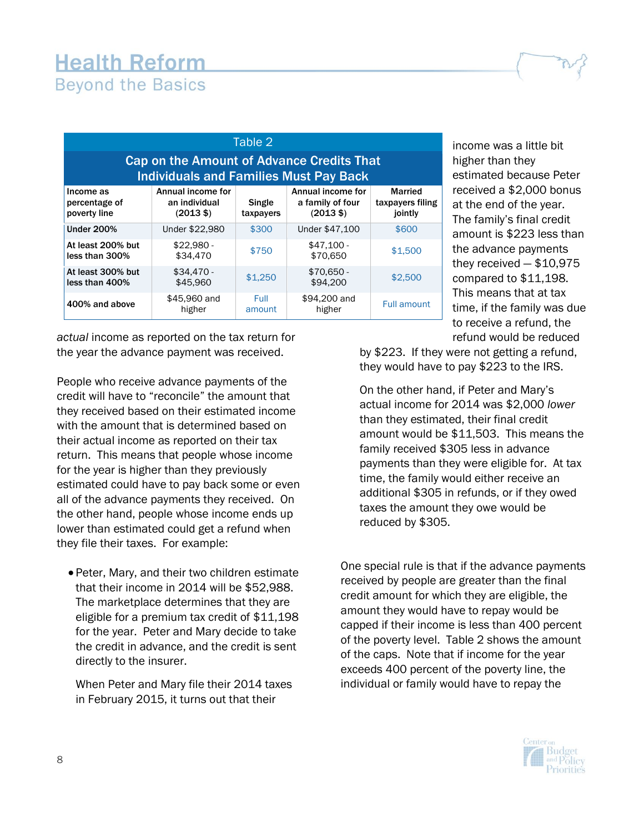| Table 2                                                                                           |                                                           |                     |                                                              |                                               |  |  |  |
|---------------------------------------------------------------------------------------------------|-----------------------------------------------------------|---------------------|--------------------------------------------------------------|-----------------------------------------------|--|--|--|
| <b>Cap on the Amount of Advance Credits That</b><br><b>Individuals and Families Must Pay Back</b> |                                                           |                     |                                                              |                                               |  |  |  |
| Income as<br>percentage of<br>poverty line                                                        | Annual income for<br>an individual<br>$(2013 \text{ } $)$ | Single<br>taxpayers | Annual income for<br>a family of four<br>$(2013 \text{ } $)$ | <b>Married</b><br>taxpayers filing<br>jointly |  |  |  |
| <b>Under 200%</b>                                                                                 | Under \$22,980                                            | \$300               | Under \$47,100                                               | \$600                                         |  |  |  |
| At least 200% but<br>less than 300%                                                               | $$22.980 -$<br>\$34,470                                   | \$750               | $$47.100 -$<br>\$70,650                                      | \$1,500                                       |  |  |  |
| At least 300% but<br>less than 400%                                                               | $$34.470 -$<br>\$45,960                                   | \$1,250             | $$70,650 -$<br>\$94,200                                      | \$2,500                                       |  |  |  |
| 400% and above                                                                                    | \$45,960 and<br>higher                                    | Full<br>amount      | \$94,200 and<br>higher                                       | <b>Full amount</b>                            |  |  |  |

*actual* income as reported on the tax return for the year the advance payment was received.

People who receive advance payments of the credit will have to "reconcile" the amount that they received based on their estimated income with the amount that is determined based on their actual income as reported on their tax return. This means that people whose income for the year is higher than they previously estimated could have to pay back some or even all of the advance payments they received. On the other hand, people whose income ends up lower than estimated could get a refund when they file their taxes. For example:

 Peter, Mary, and their two children estimate that their income in 2014 will be \$52,988. The marketplace determines that they are eligible for a premium tax credit of \$11,198 for the year. Peter and Mary decide to take the credit in advance, and the credit is sent directly to the insurer.

When Peter and Mary file their 2014 taxes in February 2015, it turns out that their

income was a little bit higher than they estimated because Peter received a \$2,000 bonus at the end of the year. The family's final credit amount is \$223 less than the advance payments they received — \$10,975 compared to \$11,198. This means that at tax time, if the family was due to receive a refund, the refund would be reduced

by \$223. If they were not getting a refund, they would have to pay \$223 to the IRS.

On the other hand, if Peter and Mary's actual income for 2014 was \$2,000 *lower* than they estimated, their final credit amount would be \$11,503. This means the family received \$305 less in advance payments than they were eligible for. At tax time, the family would either receive an additional \$305 in refunds, or if they owed taxes the amount they owe would be reduced by \$305.

One special rule is that if the advance payments received by people are greater than the final credit amount for which they are eligible, the amount they would have to repay would be capped if their income is less than 400 percent of the poverty level. Table 2 shows the amount of the caps. Note that if income for the year exceeds 400 percent of the poverty line, the individual or family would have to repay the